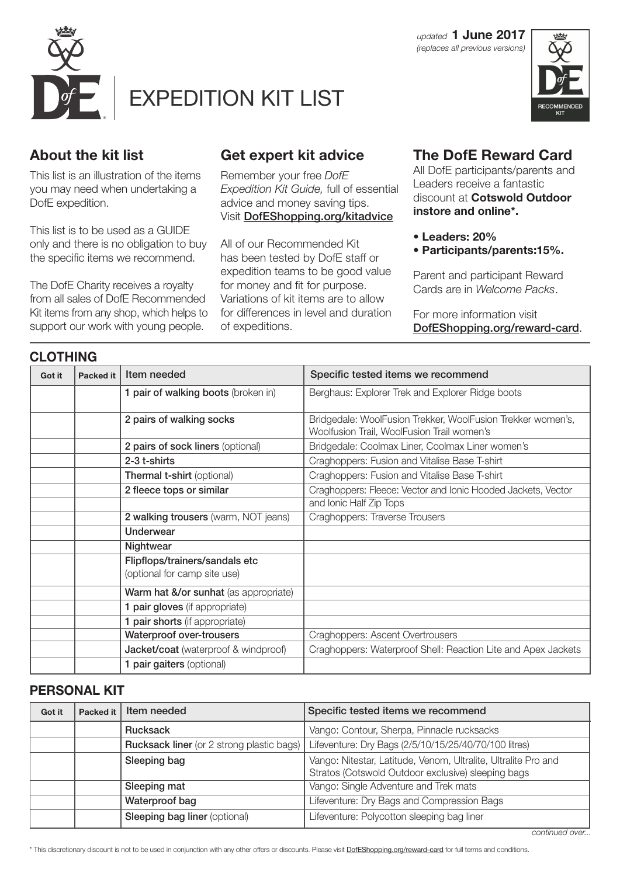

**CLOTHING**



## **About the kit list**

This list is an illustration of the items you may need when undertaking a DofE expedition.

This list is to be used as a GUIDE only and there is no obligation to buy the specific items we recommend.

The DofE Charity receives a royalty from all sales of DofE Recommended Kit items from any shop, which helps to support our work with young people.

# **Get expert kit advice**

Remember your free *DofE Expedition Kit Guide,* full of essential advice and money saving tips. Visit DofEShopping.org/kitadvice

All of our Recommended Kit has been tested by DofE staff or expedition teams to be good value for money and fit for purpose. Variations of kit items are to allow for differences in level and duration of expeditions.

## **The DofE Reward Card**

All DofE participants/parents and Leaders receive a fantastic discount at **Cotswold Outdoor instore and online\*.** 

- **Leaders: 20%**
- **Participants/parents:15%.**

Parent and participant Reward Cards are in *Welcome Packs*.

For more information visit DofEShopping.org/reward-card.

| <b>ULU I FIINU</b> |                  |                                                                |                                                                                                           |
|--------------------|------------------|----------------------------------------------------------------|-----------------------------------------------------------------------------------------------------------|
| Got it             | <b>Packed it</b> | Item needed                                                    | Specific tested items we recommend                                                                        |
|                    |                  | 1 pair of walking boots (broken in)                            | Berghaus: Explorer Trek and Explorer Ridge boots                                                          |
|                    |                  | 2 pairs of walking socks                                       | Bridgedale: WoolFusion Trekker, WoolFusion Trekker women's,<br>Woolfusion Trail, WoolFusion Trail women's |
|                    |                  | 2 pairs of sock liners (optional)                              | Bridgedale: Coolmax Liner, Coolmax Liner women's                                                          |
|                    |                  | 2-3 t-shirts                                                   | Craghoppers: Fusion and Vitalise Base T-shirt                                                             |
|                    |                  | Thermal t-shirt (optional)                                     | Craghoppers: Fusion and Vitalise Base T-shirt                                                             |
|                    |                  | 2 fleece tops or similar                                       | Craghoppers: Fleece: Vector and Ionic Hooded Jackets, Vector                                              |
|                    |                  |                                                                | and Ionic Half Zip Tops                                                                                   |
|                    |                  | 2 walking trousers (warm, NOT jeans)                           | Craghoppers: Traverse Trousers                                                                            |
|                    |                  | <b>Underwear</b>                                               |                                                                                                           |
|                    |                  | Nightwear                                                      |                                                                                                           |
|                    |                  | Flipflops/trainers/sandals etc<br>(optional for camp site use) |                                                                                                           |
|                    |                  | Warm hat &/or sunhat (as appropriate)                          |                                                                                                           |
|                    |                  | 1 pair gloves (if appropriate)                                 |                                                                                                           |
|                    |                  | 1 pair shorts (if appropriate)                                 |                                                                                                           |
|                    |                  | <b>Waterproof over-trousers</b>                                | Craghoppers: Ascent Overtrousers                                                                          |
|                    |                  | Jacket/coat (waterproof & windproof)                           | Craghoppers: Waterproof Shell: Reaction Lite and Apex Jackets                                             |
|                    |                  | 1 pair gaiters (optional)                                      |                                                                                                           |

### **PERSONAL KIT**

| Got it | Packed it | Item needed                                      | Specific tested items we recommend                                                                                   |
|--------|-----------|--------------------------------------------------|----------------------------------------------------------------------------------------------------------------------|
|        |           | <b>Rucksack</b>                                  | Vango: Contour, Sherpa, Pinnacle rucksacks                                                                           |
|        |           | <b>Rucksack liner</b> (or 2 strong plastic bags) | Lifeventure: Dry Bags (2/5/10/15/25/40/70/100 litres)                                                                |
|        |           | Sleeping bag                                     | Vango: Nitestar, Latitude, Venom, Ultralite, Ultralite Pro and<br>Stratos (Cotswold Outdoor exclusive) sleeping bags |
|        |           | Sleeping mat                                     | Vango: Single Adventure and Trek mats                                                                                |
|        |           | Waterproof bag                                   | Lifeventure: Dry Bags and Compression Bags                                                                           |
|        |           | <b>Sleeping bag liner (optional)</b>             | Lifeventure: Polycotton sleeping bag liner                                                                           |

\* This discretionary discount is not to be used in conjunction with any other offers or discounts. Please visit **DofEShopping.org/reward-card** for full terms and conditions.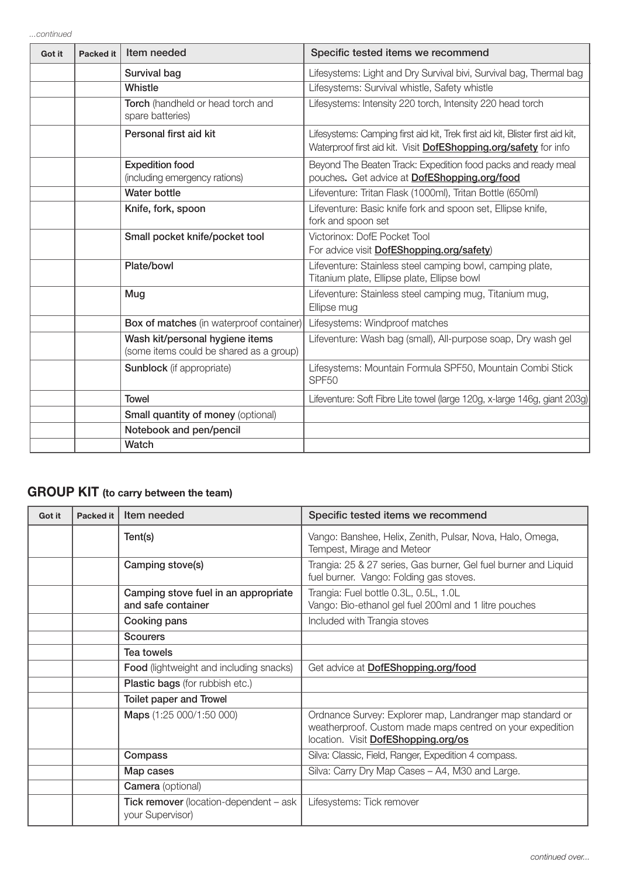| Got it | <b>Packed it</b> | Item needed                                                                | Specific tested items we recommend                                                                                                                 |
|--------|------------------|----------------------------------------------------------------------------|----------------------------------------------------------------------------------------------------------------------------------------------------|
|        |                  | Survival bag                                                               | Lifesystems: Light and Dry Survival bivi, Survival bag, Thermal bag                                                                                |
|        |                  | Whistle                                                                    | Lifesystems: Survival whistle, Safety whistle                                                                                                      |
|        |                  | Torch (handheld or head torch and<br>spare batteries)                      | Lifesystems: Intensity 220 torch, Intensity 220 head torch                                                                                         |
|        |                  | Personal first aid kit                                                     | Lifesystems: Camping first aid kit, Trek first aid kit, Blister first aid kit,<br>Waterproof first aid kit. Visit DofEShopping.org/safety for info |
|        |                  | <b>Expedition food</b><br>(including emergency rations)                    | Beyond The Beaten Track: Expedition food packs and ready meal<br>pouches. Get advice at DofEShopping.org/food                                      |
|        |                  | <b>Water bottle</b>                                                        | Lifeventure: Tritan Flask (1000ml), Tritan Bottle (650ml)                                                                                          |
|        |                  | Knife, fork, spoon                                                         | Lifeventure: Basic knife fork and spoon set, Ellipse knife,<br>fork and spoon set                                                                  |
|        |                  | Small pocket knife/pocket tool                                             | Victorinox: DofE Pocket Tool<br>For advice visit DofEShopping.org/safety)                                                                          |
|        |                  | Plate/bowl                                                                 | Lifeventure: Stainless steel camping bowl, camping plate,<br>Titanium plate, Ellipse plate, Ellipse bowl                                           |
|        |                  | Mug                                                                        | Lifeventure: Stainless steel camping mug, Titanium mug,<br>Ellipse mug                                                                             |
|        |                  | Box of matches (in waterproof container)                                   | Lifesystems: Windproof matches                                                                                                                     |
|        |                  | Wash kit/personal hygiene items<br>(some items could be shared as a group) | Lifeventure: Wash bag (small), All-purpose soap, Dry wash gel                                                                                      |
|        |                  | <b>Sunblock</b> (if appropriate)                                           | Lifesystems: Mountain Formula SPF50, Mountain Combi Stick<br>SPF <sub>50</sub>                                                                     |
|        |                  | <b>Towel</b>                                                               | Lifeventure: Soft Fibre Lite towel (large 120g, x-large 146g, giant 203g)                                                                          |
|        |                  | <b>Small quantity of money (optional)</b>                                  |                                                                                                                                                    |
|        |                  | Notebook and pen/pencil                                                    |                                                                                                                                                    |
|        |                  | Watch                                                                      |                                                                                                                                                    |

# **GROUP KIT (to carry between the team)**

| Got it | <b>Packed it</b> | Item needed                                                       | Specific tested items we recommend                                                                                                                            |
|--------|------------------|-------------------------------------------------------------------|---------------------------------------------------------------------------------------------------------------------------------------------------------------|
|        |                  | Tent(s)                                                           | Vango: Banshee, Helix, Zenith, Pulsar, Nova, Halo, Omega,<br>Tempest, Mirage and Meteor                                                                       |
|        |                  | Camping stove(s)                                                  | Trangia: 25 & 27 series, Gas burner, Gel fuel burner and Liquid<br>fuel burner. Vango: Folding gas stoves.                                                    |
|        |                  | Camping stove fuel in an appropriate<br>and safe container        | Trangia: Fuel bottle 0.3L, 0.5L, 1.0L<br>Vango: Bio-ethanol gel fuel 200ml and 1 litre pouches                                                                |
|        |                  | Cooking pans                                                      | Included with Trangia stoves                                                                                                                                  |
|        |                  | <b>Scourers</b>                                                   |                                                                                                                                                               |
|        |                  | Tea towels                                                        |                                                                                                                                                               |
|        |                  | <b>Food</b> (lightweight and including snacks)                    | Get advice at <b>DofEShopping.org/food</b>                                                                                                                    |
|        |                  | Plastic bags (for rubbish etc.)                                   |                                                                                                                                                               |
|        |                  | <b>Toilet paper and Trowel</b>                                    |                                                                                                                                                               |
|        |                  | Maps (1:25 000/1:50 000)                                          | Ordnance Survey: Explorer map, Landranger map standard or<br>weatherproof. Custom made maps centred on your expedition<br>location. Visit DofEShopping.org/os |
|        |                  | Compass                                                           | Silva: Classic, Field, Ranger, Expedition 4 compass.                                                                                                          |
|        |                  | Map cases                                                         | Silva: Carry Dry Map Cases - A4, M30 and Large.                                                                                                               |
|        |                  | <b>Camera</b> (optional)                                          |                                                                                                                                                               |
|        |                  | <b>Tick remover</b> (location-dependent – ask<br>your Supervisor) | Lifesystems: Tick remover                                                                                                                                     |